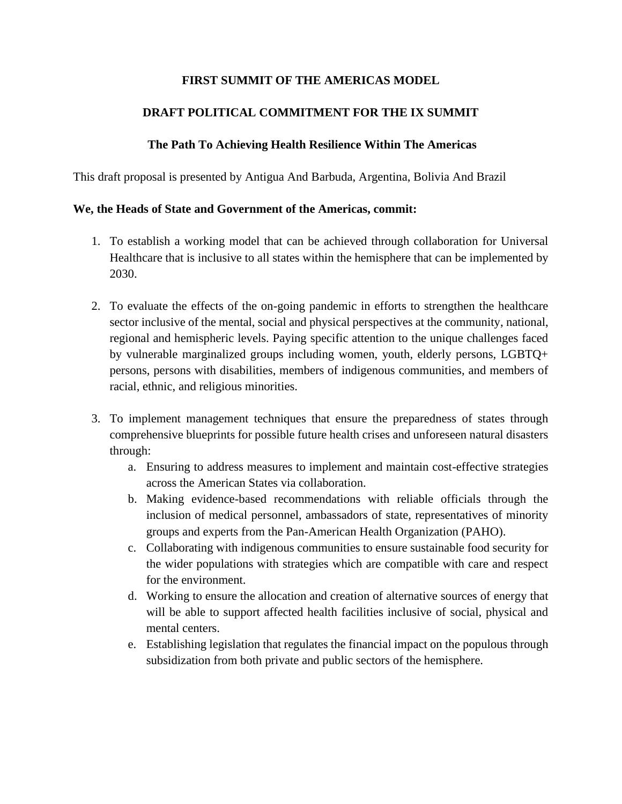## **FIRST SUMMIT OF THE AMERICAS MODEL**

## **DRAFT POLITICAL COMMITMENT FOR THE IX SUMMIT**

## **The Path To Achieving Health Resilience Within The Americas**

This draft proposal is presented by Antigua And Barbuda, Argentina, Bolivia And Brazil

## **We, the Heads of State and Government of the Americas, commit:**

- 1. To establish a working model that can be achieved through collaboration for Universal Healthcare that is inclusive to all states within the hemisphere that can be implemented by 2030.
- 2. To evaluate the effects of the on-going pandemic in efforts to strengthen the healthcare sector inclusive of the mental, social and physical perspectives at the community, national, regional and hemispheric levels. Paying specific attention to the unique challenges faced by vulnerable marginalized groups including women, youth, elderly persons, LGBTQ+ persons, persons with disabilities, members of indigenous communities, and members of racial, ethnic, and religious minorities.
- 3. To implement management techniques that ensure the preparedness of states through comprehensive blueprints for possible future health crises and unforeseen natural disasters through:
	- a. Ensuring to address measures to implement and maintain cost-effective strategies across the American States via collaboration.
	- b. Making evidence-based recommendations with reliable officials through the inclusion of medical personnel, ambassadors of state, representatives of minority groups and experts from the Pan-American Health Organization (PAHO).
	- c. Collaborating with indigenous communities to ensure sustainable food security for the wider populations with strategies which are compatible with care and respect for the environment.
	- d. Working to ensure the allocation and creation of alternative sources of energy that will be able to support affected health facilities inclusive of social, physical and mental centers.
	- e. Establishing legislation that regulates the financial impact on the populous through subsidization from both private and public sectors of the hemisphere.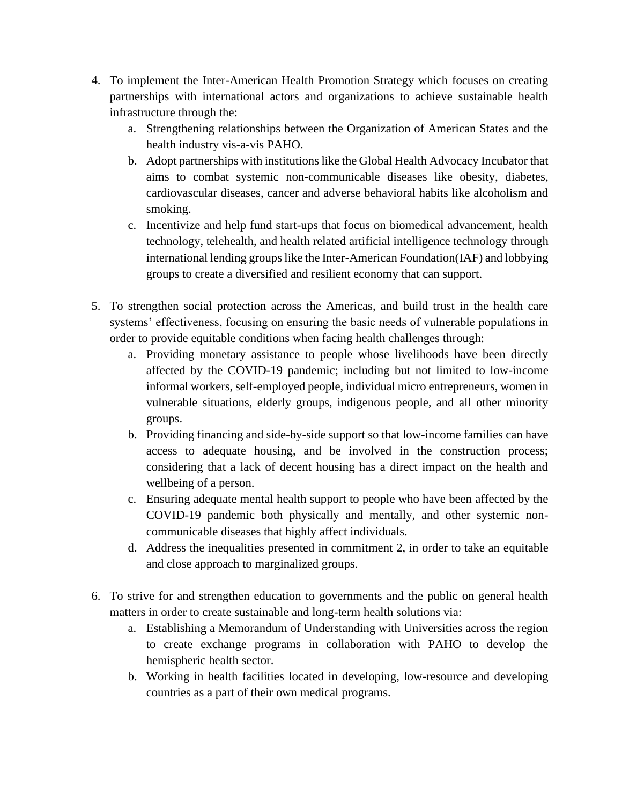- 4. To implement the Inter-American Health Promotion Strategy which focuses on creating partnerships with international actors and organizations to achieve sustainable health infrastructure through the:
	- a. Strengthening relationships between the Organization of American States and the health industry vis-a-vis PAHO.
	- b. Adopt partnerships with institutions like the Global Health Advocacy Incubator that aims to combat systemic non-communicable diseases like obesity, diabetes, cardiovascular diseases, cancer and adverse behavioral habits like alcoholism and smoking.
	- c. Incentivize and help fund start-ups that focus on biomedical advancement, health technology, telehealth, and health related artificial intelligence technology through international lending groups like the Inter-American Foundation(IAF) and lobbying groups to create a diversified and resilient economy that can support.
- 5. To strengthen social protection across the Americas, and build trust in the health care systems' effectiveness, focusing on ensuring the basic needs of vulnerable populations in order to provide equitable conditions when facing health challenges through:
	- a. Providing monetary assistance to people whose livelihoods have been directly affected by the COVID-19 pandemic; including but not limited to low-income informal workers, self-employed people, individual micro entrepreneurs, women in vulnerable situations, elderly groups, indigenous people, and all other minority groups.
	- b. Providing financing and side-by-side support so that low-income families can have access to adequate housing, and be involved in the construction process; considering that a lack of decent housing has a direct impact on the health and wellbeing of a person.
	- c. Ensuring adequate mental health support to people who have been affected by the COVID-19 pandemic both physically and mentally, and other systemic noncommunicable diseases that highly affect individuals.
	- d. Address the inequalities presented in commitment 2, in order to take an equitable and close approach to marginalized groups.
- 6. To strive for and strengthen education to governments and the public on general health matters in order to create sustainable and long-term health solutions via:
	- a. Establishing a Memorandum of Understanding with Universities across the region to create exchange programs in collaboration with PAHO to develop the hemispheric health sector.
	- b. Working in health facilities located in developing, low-resource and developing countries as a part of their own medical programs.